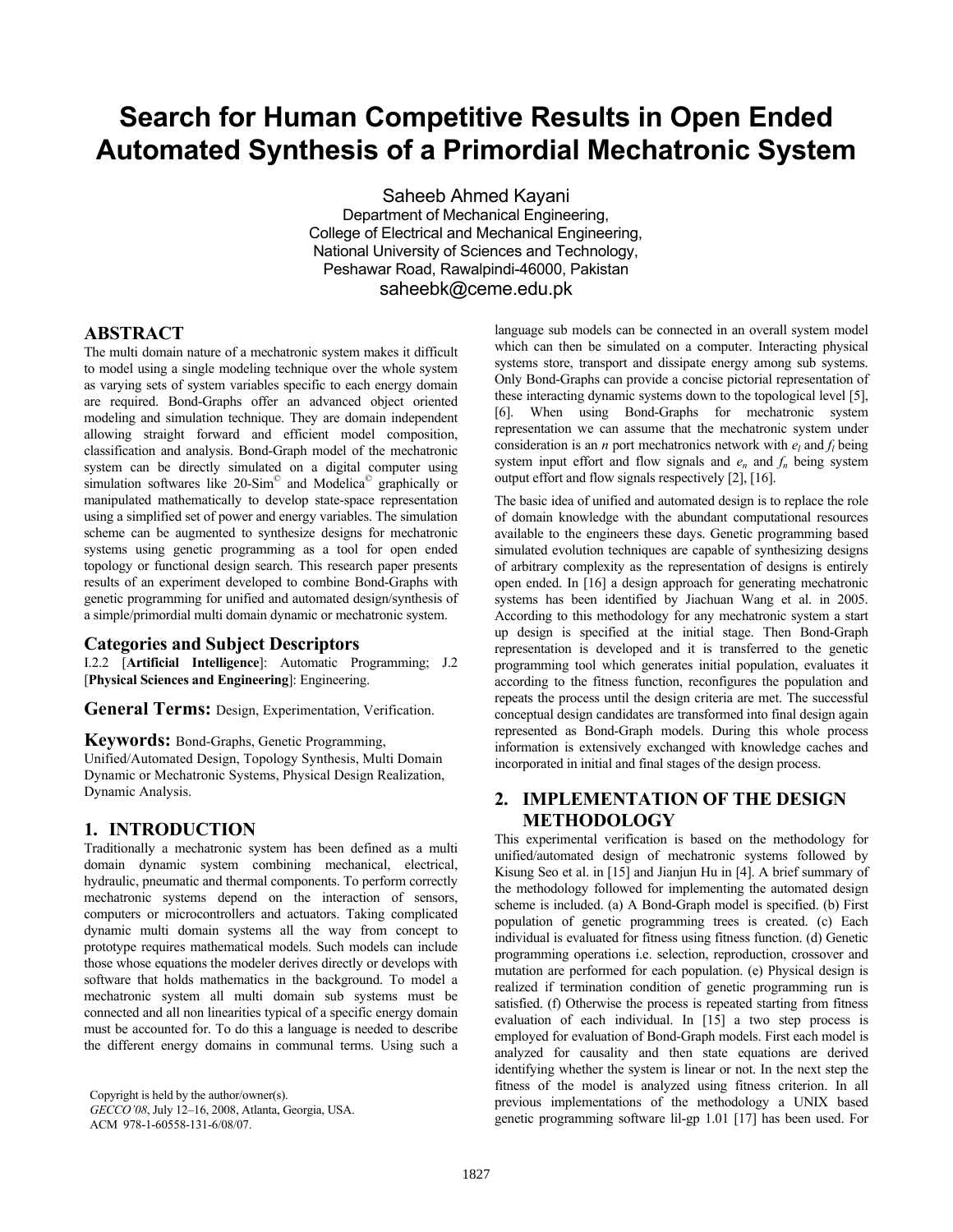# **Search for Human Competitive Results in Open Ended Automated Synthesis of a Primordial Mechatronic System**

Saheeb Ahmed Kayani Department of Mechanical Engineering, College of Electrical and Mechanical Engineering, National University of Sciences and Technology, Peshawar Road, Rawalpindi-46000, Pakistan saheebk@ceme.edu.pk

## **ABSTRACT**

The multi domain nature of a mechatronic system makes it difficult to model using a single modeling technique over the whole system as varying sets of system variables specific to each energy domain are required. Bond-Graphs offer an advanced object oriented modeling and simulation technique. They are domain independent allowing straight forward and efficient model composition, classification and analysis. Bond-Graph model of the mechatronic system can be directly simulated on a digital computer using simulation softwares like 20-Sim<sup>®</sup> and Modelica<sup>®</sup> graphically or manipulated mathematically to develop state-space representation using a simplified set of power and energy variables. The simulation scheme can be augmented to synthesize designs for mechatronic systems using genetic programming as a tool for open ended topology or functional design search. This research paper presents results of an experiment developed to combine Bond-Graphs with genetic programming for unified and automated design/synthesis of a simple/primordial multi domain dynamic or mechatronic system.

#### **Categories and Subject Descriptors**

I.2.2 [**Artificial Intelligence**]: Automatic Programming; J.2 [**Physical Sciences and Engineering**]: Engineering.

**General Terms:** Design, Experimentation, Verification.

**Keywords:** Bond-Graphs, Genetic Programming,

Unified/Automated Design, Topology Synthesis, Multi Domain Dynamic or Mechatronic Systems, Physical Design Realization, Dynamic Analysis.

## **1. INTRODUCTION**

Traditionally a mechatronic system has been defined as a multi domain dynamic system combining mechanical, electrical, hydraulic, pneumatic and thermal components. To perform correctly mechatronic systems depend on the interaction of sensors, computers or microcontrollers and actuators. Taking complicated dynamic multi domain systems all the way from concept to prototype requires mathematical models. Such models can include those whose equations the modeler derives directly or develops with software that holds mathematics in the background. To model a mechatronic system all multi domain sub systems must be connected and all non linearities typical of a specific energy domain must be accounted for. To do this a language is needed to describe the different energy domains in communal terms. Using such a

Copyright is held by the author/owner(s). *GECCO'08*, July 12–16, 2008, Atlanta, Georgia, USA. ACM 978-1-60558-131-6/08/07.

language sub models can be connected in an overall system model which can then be simulated on a computer. Interacting physical systems store, transport and dissipate energy among sub systems. Only Bond-Graphs can provide a concise pictorial representation of these interacting dynamic systems down to the topological level [5], [6]. When using Bond-Graphs for mechatronic system representation we can assume that the mechatronic system under consideration is an *n* port mechatronics network with  $e_l$  and  $f_l$  being system input effort and flow signals and  $e_n$  and  $f_n$  being system output effort and flow signals respectively [2], [16].

The basic idea of unified and automated design is to replace the role of domain knowledge with the abundant computational resources available to the engineers these days. Genetic programming based simulated evolution techniques are capable of synthesizing designs of arbitrary complexity as the representation of designs is entirely open ended. In [16] a design approach for generating mechatronic systems has been identified by Jiachuan Wang et al. in 2005. According to this methodology for any mechatronic system a start up design is specified at the initial stage. Then Bond-Graph representation is developed and it is transferred to the genetic programming tool which generates initial population, evaluates it according to the fitness function, reconfigures the population and repeats the process until the design criteria are met. The successful conceptual design candidates are transformed into final design again represented as Bond-Graph models. During this whole process information is extensively exchanged with knowledge caches and incorporated in initial and final stages of the design process.

# **2. IMPLEMENTATION OF THE DESIGN METHODOLOGY**

This experimental verification is based on the methodology for unified/automated design of mechatronic systems followed by Kisung Seo et al. in [15] and Jianjun Hu in [4]. A brief summary of the methodology followed for implementing the automated design scheme is included. (a) A Bond-Graph model is specified. (b) First population of genetic programming trees is created. (c) Each individual is evaluated for fitness using fitness function. (d) Genetic programming operations i.e. selection, reproduction, crossover and mutation are performed for each population. (e) Physical design is realized if termination condition of genetic programming run is satisfied. (f) Otherwise the process is repeated starting from fitness evaluation of each individual. In [15] a two step process is employed for evaluation of Bond-Graph models. First each model is analyzed for causality and then state equations are derived identifying whether the system is linear or not. In the next step the fitness of the model is analyzed using fitness criterion. In all previous implementations of the methodology a UNIX based genetic programming software lil-gp 1.01 [17] has been used. For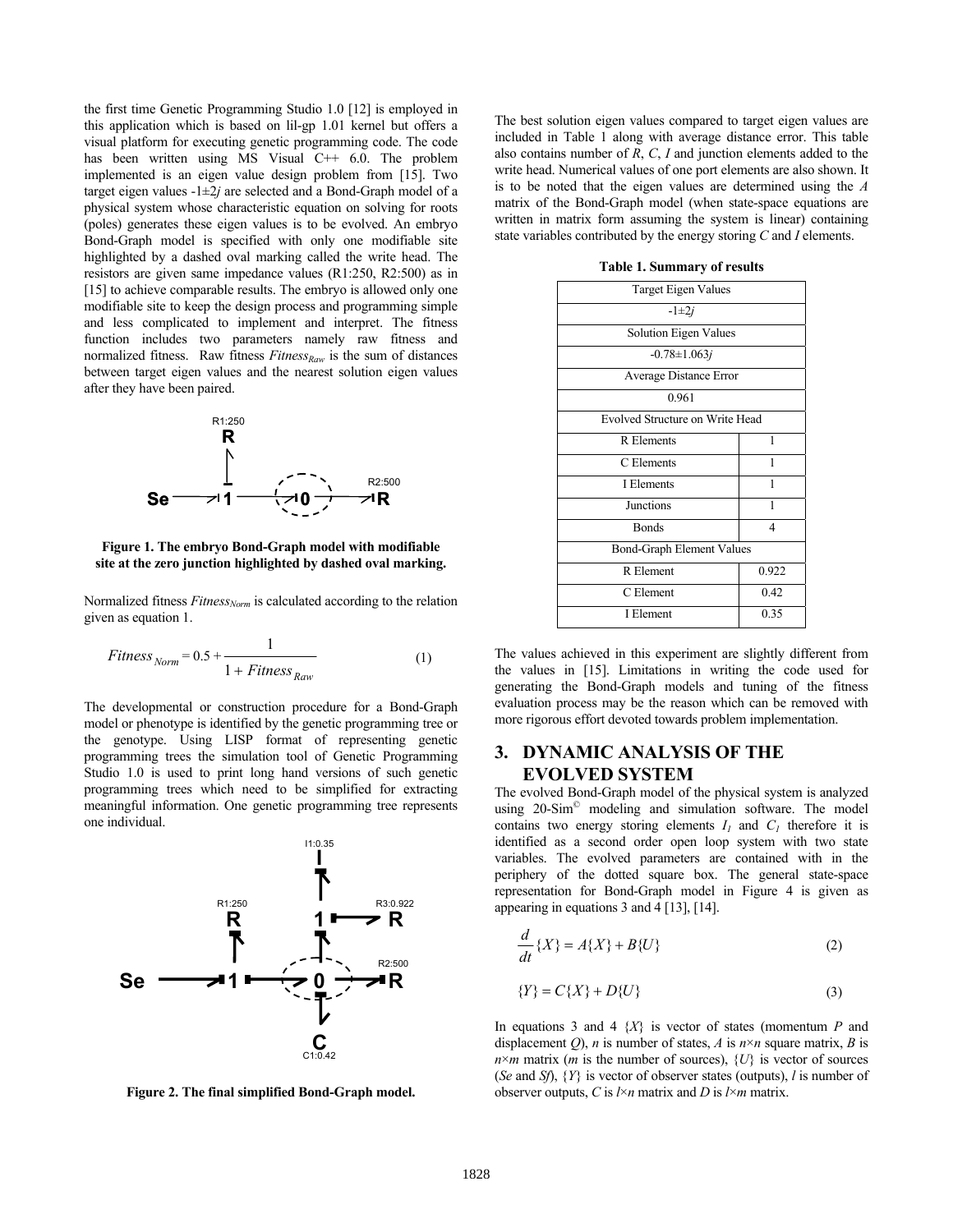the first time Genetic Programming Studio 1.0 [12] is employed in this application which is based on lil-gp 1.01 kernel but offers a visual platform for executing genetic programming code. The code has been written using MS Visual C++ 6.0. The problem implemented is an eigen value design problem from [15]. Two target eigen values  $-1 \pm 2j$  are selected and a Bond-Graph model of a physical system whose characteristic equation on solving for roots (poles) generates these eigen values is to be evolved. An embryo Bond-Graph model is specified with only one modifiable site highlighted by a dashed oval marking called the write head. The resistors are given same impedance values (R1:250, R2:500) as in [15] to achieve comparable results. The embryo is allowed only one modifiable site to keep the design process and programming simple and less complicated to implement and interpret. The fitness function includes two parameters namely raw fitness and normalized fitness. Raw fitness  $Fitness_{Raw}$  is the sum of distances between target eigen values and the nearest solution eigen values after they have been paired.



**Figure 1. The embryo Bond-Graph model with modifiable site at the zero junction highlighted by dashed oval marking.** 

Normalized fitness *Fitness<sub>Norm</sub>* is calculated according to the relation given as equation 1.

$$
Fitness_{Norm} = 0.5 + \frac{1}{1 + Fitness_{Row}}
$$
 (1)

The developmental or construction procedure for a Bond-Graph model or phenotype is identified by the genetic programming tree or the genotype. Using LISP format of representing genetic programming trees the simulation tool of Genetic Programming Studio 1.0 is used to print long hand versions of such genetic programming trees which need to be simplified for extracting meaningful information. One genetic programming tree represents one individual.



**Figure 2. The final simplified Bond-Graph model.** 

The best solution eigen values compared to target eigen values are included in Table 1 along with average distance error. This table also contains number of *R*, *C*, *I* and junction elements added to the write head. Numerical values of one port elements are also shown. It is to be noted that the eigen values are determined using the *A* matrix of the Bond-Graph model (when state-space equations are written in matrix form assuming the system is linear) containing state variables contributed by the energy storing *C* and *I* elements.

**Table 1. Summary of results** 

| <b>Target Eigen Values</b>             |  |
|----------------------------------------|--|
| $-1 \pm 2i$                            |  |
| Solution Eigen Values                  |  |
| $-0.78 \pm 1.063j$                     |  |
| Average Distance Error                 |  |
| 0.961                                  |  |
| <b>Evolved Structure on Write Head</b> |  |
| 1                                      |  |
| 1                                      |  |
| 1                                      |  |
| 1                                      |  |
| $\overline{4}$                         |  |
| <b>Bond-Graph Element Values</b>       |  |
| 0.922                                  |  |
| 0.42                                   |  |
| 0.35                                   |  |
|                                        |  |

The values achieved in this experiment are slightly different from the values in [15]. Limitations in writing the code used for generating the Bond-Graph models and tuning of the fitness evaluation process may be the reason which can be removed with more rigorous effort devoted towards problem implementation.

## **3. DYNAMIC ANALYSIS OF THE EVOLVED SYSTEM**

The evolved Bond-Graph model of the physical system is analyzed using 20-Sim<sup>®</sup> modeling and simulation software. The model contains two energy storing elements  $I_1$  and  $C_1$  therefore it is identified as a second order open loop system with two state variables. The evolved parameters are contained with in the periphery of the dotted square box. The general state-space representation for Bond-Graph model in Figure 4 is given as appearing in equations 3 and 4 [13], [14].

$$
\frac{d}{dt}\left\{X\right\} = A\{X\} + B\{U\}
$$
\n<sup>(2)</sup>

$$
\{Y\} = C\{X\} + D\{U\}
$$
 (3)

In equations 3 and 4 {*X*} is vector of states (momentum *P* and displacement  $Q$ ), *n* is number of states, *A* is  $n \times n$  square matrix, *B* is  $n \times m$  matrix (*m* is the number of sources),  $\{U\}$  is vector of sources (*Se* and *Sf*), {*Y*} is vector of observer states (outputs), *l* is number of observer outputs, *C* is *l*×*n* matrix and *D* is *l*×*m* matrix.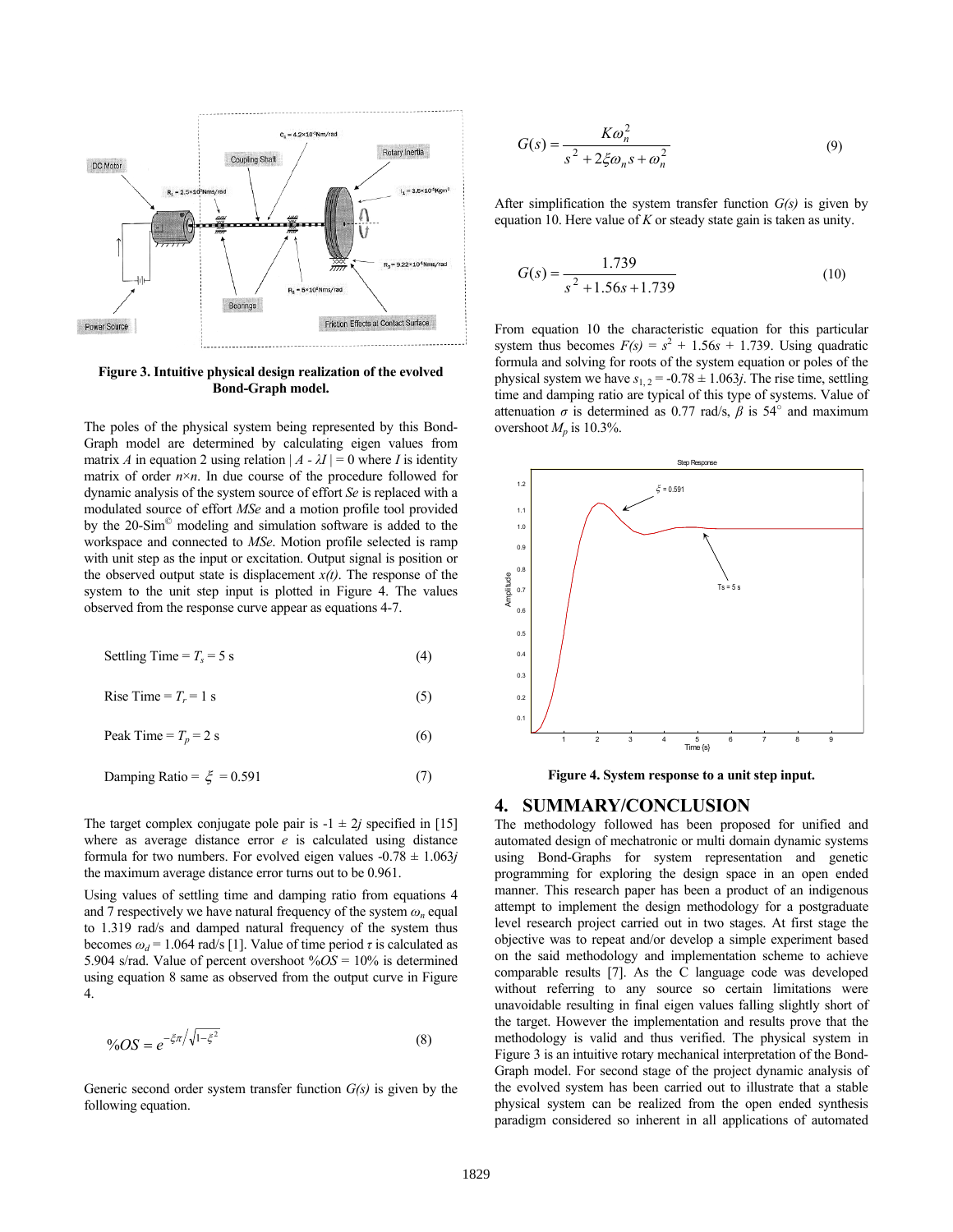

#### **Figure 3. Intuitive physical design realization of the evolved Bond-Graph model.**

The poles of the physical system being represented by this Bond-Graph model are determined by calculating eigen values from matrix *A* in equation 2 using relation  $|A - \lambda I| = 0$  where *I* is identity matrix of order  $n \times n$ . In due course of the procedure followed for dynamic analysis of the system source of effort *Se* is replaced with a modulated source of effort *MSe* and a motion profile tool provided by the 20-Sim© modeling and simulation software is added to the workspace and connected to *MSe*. Motion profile selected is ramp with unit step as the input or excitation. Output signal is position or the observed output state is displacement  $x(t)$ . The response of the system to the unit step input is plotted in Figure 4. The values observed from the response curve appear as equations 4-7.

Setting Time = 
$$
T_s = 5 \text{ s}
$$
 (4)

Rise Time =  $T_r = 1$  s (5)

$$
Peak Time = T_p = 2 s \tag{6}
$$

$$
Damping Ratio = \xi = 0.591 \tag{7}
$$

The target complex conjugate pole pair is  $-1 \pm 2j$  specified in [15] where as average distance error *e* is calculated using distance formula for two numbers. For evolved eigen values  $-0.78 \pm 1.063j$ the maximum average distance error turns out to be 0.961.

Using values of settling time and damping ratio from equations 4 and 7 respectively we have natural frequency of the system  $\omega_n$  equal to 1.319 rad/s and damped natural frequency of the system thus becomes  $\omega_d$  = 1.064 rad/s [1]. Value of time period  $\tau$  is calculated as 5.904 s/rad. Value of percent overshoot %*OS* = 10% is determined using equation 8 same as observed from the output curve in Figure 4.

$$
\%OS = e^{-\xi \pi / \sqrt{1 - \xi^2}} \tag{8}
$$

Generic second order system transfer function *G(s)* is given by the following equation.

$$
G(s) = \frac{K\omega_n^2}{s^2 + 2\xi\omega_n s + \omega_n^2}
$$
\n(9)

After simplification the system transfer function *G(s)* is given by equation 10. Here value of *K* or steady state gain is taken as unity.

$$
G(s) = \frac{1.739}{s^2 + 1.56s + 1.739}
$$
 (10)

From equation 10 the characteristic equation for this particular system thus becomes  $F(s) = s^2 + 1.56s + 1.739$ . Using quadratic formula and solving for roots of the system equation or poles of the physical system we have  $s_{1,2} = -0.78 \pm 1.063j$ . The rise time, settling time and damping ratio are typical of this type of systems. Value of attenuation  $\sigma$  is determined as 0.77 rad/s,  $\beta$  is 54<sup>°</sup> and maximum overshoot  $M_p$  is 10.3%.



**Figure 4. System response to a unit step input.**

#### **4. SUMMARY/CONCLUSION**

The methodology followed has been proposed for unified and automated design of mechatronic or multi domain dynamic systems using Bond-Graphs for system representation and genetic programming for exploring the design space in an open ended manner. This research paper has been a product of an indigenous attempt to implement the design methodology for a postgraduate level research project carried out in two stages. At first stage the objective was to repeat and/or develop a simple experiment based on the said methodology and implementation scheme to achieve comparable results [7]. As the C language code was developed without referring to any source so certain limitations were unavoidable resulting in final eigen values falling slightly short of the target. However the implementation and results prove that the methodology is valid and thus verified. The physical system in Figure 3 is an intuitive rotary mechanical interpretation of the Bond-Graph model. For second stage of the project dynamic analysis of the evolved system has been carried out to illustrate that a stable physical system can be realized from the open ended synthesis paradigm considered so inherent in all applications of automated